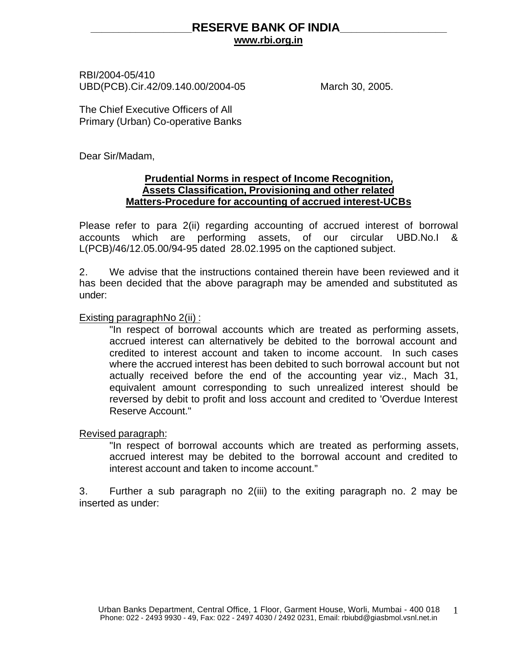# **\_\_\_\_\_\_\_\_\_\_\_\_\_\_\_\_\_\_RESERVE BANK OF INDIA\_\_\_\_\_\_\_\_\_\_\_\_\_\_\_\_\_\_\_ www.rbi.org.in**

RBI/2004-05/410 UBD(PCB).Cir.42/09.140.00/2004-05 March 30, 2005.

The Chief Executive Officers of All Primary (Urban) Co-operative Banks

Dear Sir/Madam,

### **Prudential Norms in respect of Income Recognition, Assets Classification, Provisioning and other related Matters-Procedure for accounting of accrued interest-UCBs**

Please refer to para 2(ii) regarding accounting of accrued interest of borrowal accounts which are performing assets, of our circular UBD.No.I & L(PCB)/46/12.05.00/94-95 dated 28.02.1995 on the captioned subject.

2. We advise that the instructions contained therein have been reviewed and it has been decided that the above paragraph may be amended and substituted as under:

Existing paragraphNo 2(ii) :

"In respect of borrowal accounts which are treated as performing assets, accrued interest can alternatively be debited to the borrowal account and credited to interest account and taken to income account. In such cases where the accrued interest has been debited to such borrowal account but not actually received before the end of the accounting year viz., Mach 31, equivalent amount corresponding to such unrealized interest should be reversed by debit to profit and loss account and credited to 'Overdue Interest Reserve Account."

Revised paragraph:

"In respect of borrowal accounts which are treated as performing assets, accrued interest may be debited to the borrowal account and credited to interest account and taken to income account."

3. Further a sub paragraph no 2(iii) to the exiting paragraph no. 2 may be inserted as under: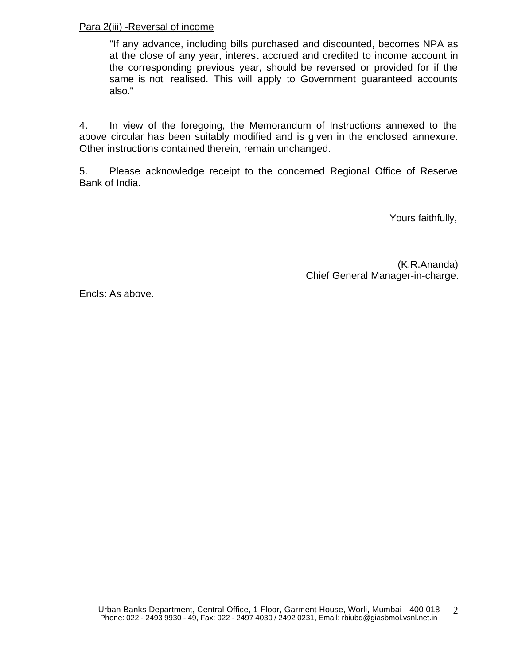### Para 2(iii) -Reversal of income

"If any advance, including bills purchased and discounted, becomes NPA as at the close of any year, interest accrued and credited to income account in the corresponding previous year, should be reversed or provided for if the same is not realised. This will apply to Government guaranteed accounts also."

4. In view of the foregoing, the Memorandum of Instructions annexed to the above circular has been suitably modified and is given in the enclosed annexure. Other instructions contained therein, remain unchanged.

5. Please acknowledge receipt to the concerned Regional Office of Reserve Bank of India.

Yours faithfully,

(K.R.Ananda) Chief General Manager-in-charge.

Encls: As above.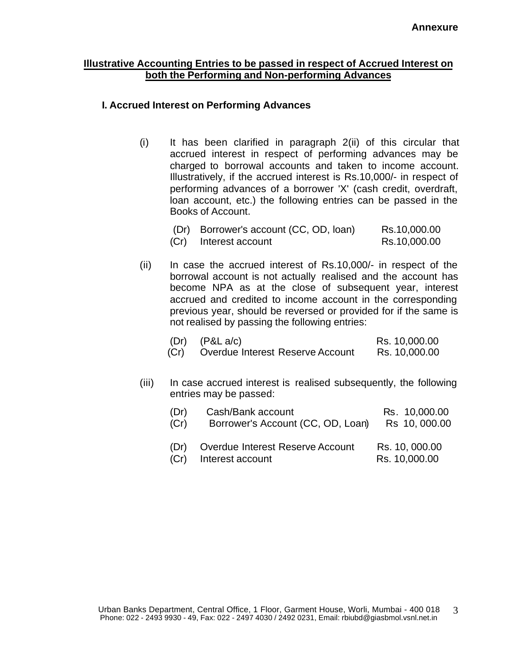#### **Illustrative Accounting Entries to be passed in respect of Accrued Interest on both the Performing and Non-performing Advances**

### **I. Accrued Interest on Performing Advances**

(i) It has been clarified in paragraph 2(ii) of this circular that accrued interest in respect of performing advances may be charged to borrowal accounts and taken to income account. Illustratively, if the accrued interest is Rs.10,000/- in respect of performing advances of a borrower 'X' (cash credit, overdraft, loan account, etc.) the following entries can be passed in the Books of Account.

| (Dr) Borrower's account (CC, OD, Ioan) | Rs.10,000.00 |
|----------------------------------------|--------------|
| (Cr) Interest account                  | Rs.10,000.00 |

(ii) In case the accrued interest of Rs.10,000/- in respect of the borrowal account is not actually realised and the account has become NPA as at the close of subsequent year, interest accrued and credited to income account in the corresponding previous year, should be reversed or provided for if the same is not realised by passing the following entries:

|      | $(Dr)$ $(P&L a/c)$               | Rs. 10,000.00 |
|------|----------------------------------|---------------|
| (Cr) | Overdue Interest Reserve Account | Rs. 10,000.00 |

(iii) In case accrued interest is realised subsequently, the following entries may be passed:

| (Dr) | Cash/Bank account                                         | Rs. 10,000.00                   |
|------|-----------------------------------------------------------|---------------------------------|
| (Cr) | Borrower's Account (CC, OD, Loan)                         | Rs 10, 000.00                   |
| (Dr) | Overdue Interest Reserve Account<br>(Cr) Interest account | Rs. 10, 000.00<br>Rs. 10,000.00 |